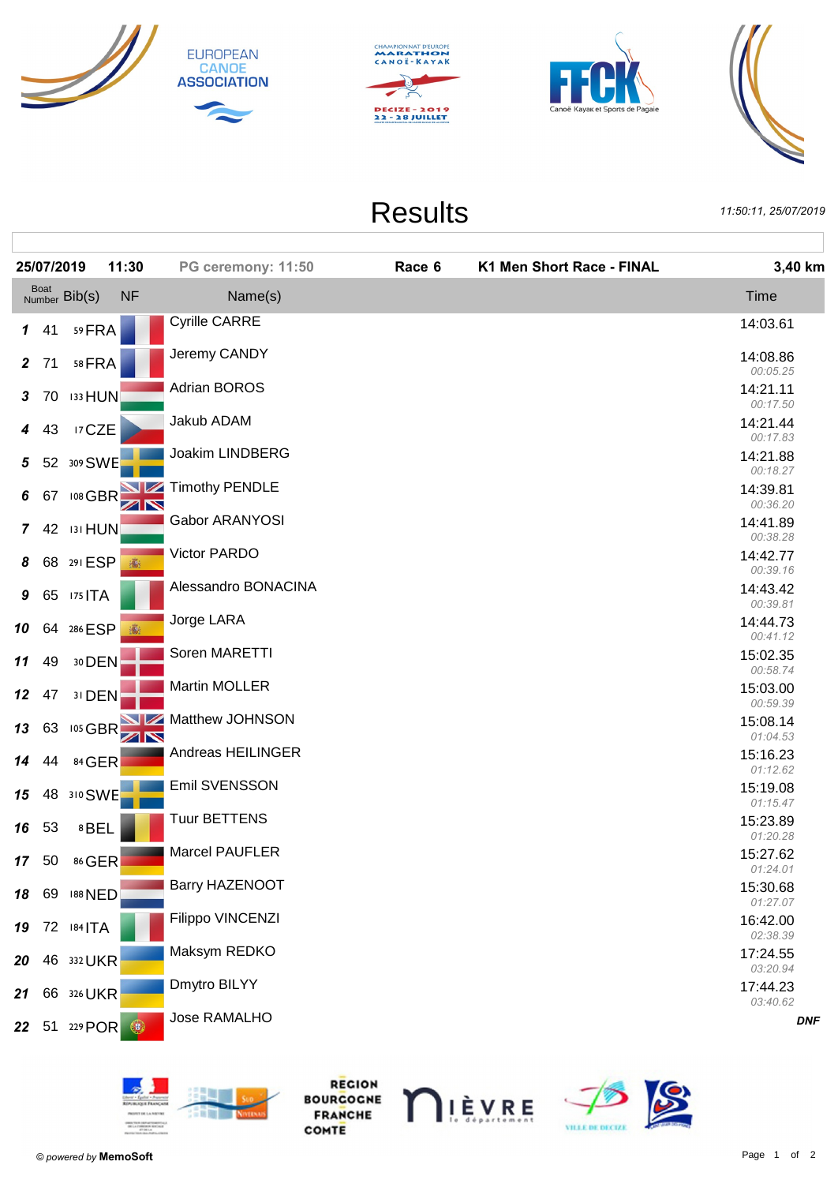







**Results** 

11:50:11.25/07/2019

|                | 25/07/2019 |                       | 11:30      | PG ceremony: 11:50   | Race 6 | K1 Men Short Race - FINAL | 3,40 km              |
|----------------|------------|-----------------------|------------|----------------------|--------|---------------------------|----------------------|
|                |            | Boat<br>Number Bib(s) | <b>NF</b>  | Name(s)              |        |                           | Time                 |
|                | 141        | 59 FRA                |            | <b>Cyrille CARRE</b> |        |                           | 14:03.61             |
|                | 2 71       | 58 FRA                |            | Jeremy CANDY         |        |                           | 14:08.86<br>00:05.25 |
| 3 <sup>1</sup> | 70         | <b>133 HUN</b>        |            | <b>Adrian BOROS</b>  |        |                           | 14:21.11             |
| $\overline{4}$ | 43         | 17 CZE                |            | Jakub ADAM           |        |                           | 00:17.50<br>14:21.44 |
| 5 <sub>5</sub> |            | 52 309 SWE            |            | Joakim LINDBERG      |        |                           | 00:17.83<br>14:21.88 |
| 6              | 67         |                       | 108 GBR    | Timothy PENDLE       |        |                           | 00:18.27<br>14:39.81 |
|                |            |                       |            | Gabor ARANYOSI       |        |                           | 00:36.20<br>14:41.89 |
| $\mathbf{7}$   |            | 42 131 HUN            |            | Victor PARDO         |        |                           | 00:38.28<br>14:42.77 |
| 8              |            | 68 291 ESP            | 瓣          | Alessandro BONACINA  |        |                           | 00:39.16<br>14:43.42 |
| 9              |            | 65 175 ITA            |            | Jorge LARA           |        |                           | 00:39.81             |
| 10             |            | 64 286 ESP            |            |                      |        |                           | 14:44.73<br>00:41.12 |
| 11             | 49         | 30 DEN                |            | Soren MARETTI        |        |                           | 15:02.35<br>00:58.74 |
| 12             | 47         | 31 DEN                |            | Martin MOLLER        |        |                           | 15:03.00<br>00:59.39 |
| 13             | 63         |                       | 105 GBR 2  | Matthew JOHNSON      |        |                           | 15:08.14<br>01:04.53 |
| 14             | 44         | 84 GER                |            | Andreas HEILINGER    |        |                           | 15:16.23<br>01:12.62 |
| 15             |            | 48 310 SWE            |            | Emil SVENSSON        |        |                           | 15:19.08<br>01:15.47 |
|                | 16 53      | 8BEL                  |            | <b>Tuur BETTENS</b>  |        |                           | 15:23.89             |
|                |            | 17 50 86 GER          |            | Marcel PAUFLER       |        |                           | 01:20.28<br>15:27.62 |
|                |            | 18 69 188 NED         |            | Barry HAZENOOT       |        |                           | 01:24.01<br>15:30.68 |
|                |            | 19 72 184   TA        |            | Filippo VINCENZI     |        |                           | 01:27.07<br>16:42.00 |
|                |            |                       |            | Maksym REDKO         |        |                           | 02:38.39<br>17:24.55 |
| 20             |            | 46 332 UKR            |            | Dmytro BILYY         |        |                           | 03:20.94<br>17:44.23 |
| 21             |            | 66 326 UKR            |            |                      |        |                           | 03:40.62             |
|                |            | 22 51 229 POR         | $\bigcirc$ | Jose RAMALHO         |        |                           | <b>DNF</b>           |
|                |            |                       |            |                      |        |                           |                      |



REGION **BOURCOCNE**